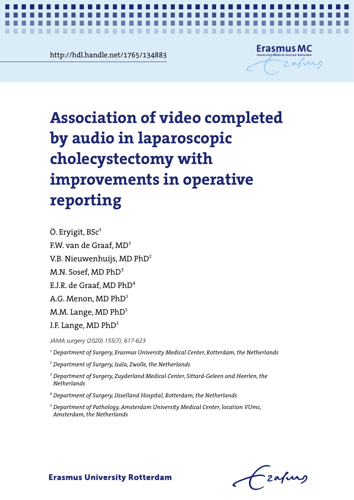<u>Rup://Raharande.net/1/65/134883</u><br>
Experience 100<br>
The Chapter 2008 http://hdl.handle.net/1765/134883



*Association of video completed by audio in laparoscopic cholecystectomy* **1**

# by audio in laparoscopic in laparoscopic cholecystectomy with **cholecystectomy with**  improvements in operative **Association of video completed reporting**

Ö. Eryigit, B $Sc<sup>1</sup>$ F.W. van de Graaf, MD $^{\rm 1}$ V.B. Nieuwenhuijs, MD PhD<sup>2</sup>  $\frac{1}{2}$ M.N. Sosef, MD PhD $^3$ E.J.R. de Graaf, MD PhD<sup>4</sup> A.G. Menon,  $MD PhD<sup>1</sup>$ M.M. Lange, MD  $\rm PhD^{5}$ J.F. Lange, MD PhD<sup>1</sup>

*JAMA surgery (2020) 155(7), 617-623*

- <sup>1</sup> Department of Surgery, Erasmus University Medical Center, Rotterdam, the Netherlands *<sup>1</sup> Department of Surgery, Erasmus University Medical Center, Rotterdam, the Netherlands*
- <sup>2</sup> Department of Surgery, Isala, Zwolle, the Netherlands *<sup>2</sup> Department of Surgery, Isala, Zwolle, the Netherlands* <sup>3</sup> Department of Surgery, Zuyderland Medical Center, Sittard-Geleen and Heerlen, the
- Netherlands *Netherlands <sup>3</sup> Department of Surgery, Zuyderland Medical Center, Sittard-Geleen and Heerlen, the*
- $\mathcal{A}_{\mathcal{D}}$  below to Department of Surgery, Indian Hospital, Rotterdam, the Netherlands  $\mathcal{A}_{\mathcal{D}}$ <sup>5</sup> Department of Pathology, Amsterdam University Medical Center, location VUmc, *<sup>4</sup> Department of Surgery, IJsselland Hospital, Rotterdam, the Netherlands*
- Amsterdam, the Netherlands *Amsterdam, the Netherlands<sup>5</sup> Department of Pathology, Amsterdam University Medical Center, location VUmc,*

frafing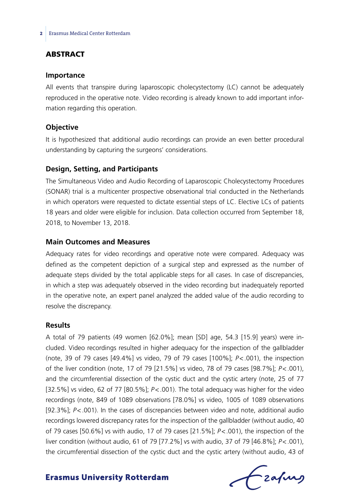#### **ABSTRACT**

#### **Importance**

All events that transpire during laparoscopic cholecystectomy (LC) cannot be adequately reproduced in the operative note. Video recording is already known to add important information regarding this operation.

#### **Objective**

It is hypothesized that additional audio recordings can provide an even better procedural understanding by capturing the surgeons' considerations.

#### **Design, Setting, and Participants**

The Simultaneous Video and Audio Recording of Laparoscopic Cholecystectomy Procedures (SONAR) trial is a multicenter prospective observational trial conducted in the Netherlands in which operators were requested to dictate essential steps of LC. Elective LCs of patients 18 years and older were eligible for inclusion. Data collection occurred from September 18, 2018, to November 13, 2018.

#### **Main Outcomes and Measures**

Adequacy rates for video recordings and operative note were compared. Adequacy was defined as the competent depiction of a surgical step and expressed as the number of adequate steps divided by the total applicable steps for all cases. In case of discrepancies, in which a step was adequately observed in the video recording but inadequately reported in the operative note, an expert panel analyzed the added value of the audio recording to resolve the discrepancy.

#### **Results**

A total of 79 patients (49 women [62.0%]; mean [SD] age, 54.3 [15.9] years) were included. Video recordings resulted in higher adequacy for the inspection of the gallbladder (note, 39 of 79 cases [49.4%] vs video, 79 of 79 cases [100%]; *P*<.001), the inspection of the liver condition (note, 17 of 79 [21.5%] vs video, 78 of 79 cases [98.7%]; *P*<.001), and the circumferential dissection of the cystic duct and the cystic artery (note, 25 of 77 [32.5%] vs video, 62 of 77 [80.5%]; *P < .*001). The total adequacy was higher for the video recordings (note, 849 of 1089 observations [78.0%] vs video, 1005 of 1089 observations [92.3%]; *P*<.001). In the cases of discrepancies between video and note, additional audio recordings lowered discrepancy rates for the inspection of the gallbladder (without audio, 40 of 79 cases [50.6%] vs with audio, 17 of 79 cases [21.5%]; *P*<.001), the inspection of the liver condition (without audio, 61 of 79 [77.2%] vs with audio, 37 of 79 [46.8%]; *P*<.001), the circumferential dissection of the cystic duct and the cystic artery (without audio, 43 of

frafing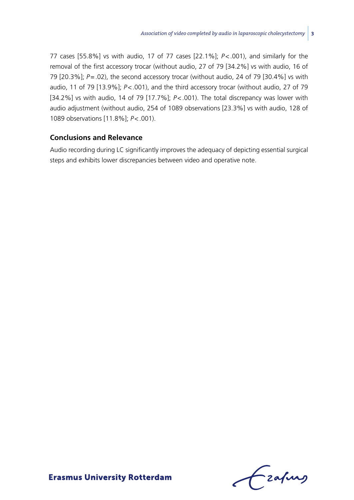77 cases [55.8%] vs with audio, 17 of 77 cases [22.1%]; *P*<.001), and similarly for the removal of the first accessory trocar (without audio, 27 of 79 [34.2%] vs with audio, 16 of 79 [20.3%]; *P*=.02), the second accessory trocar (without audio, 24 of 79 [30.4%] vs with audio, 11 of 79 [13.9%]; *P*<.001), and the third accessory trocar (without audio, 27 of 79 [34.2%] vs with audio, 14 of 79 [17.7%]; *P*<.001). The total discrepancy was lower with audio adjustment (without audio, 254 of 1089 observations [23.3%] vs with audio, 128 of 1089 observations [11.8%]; *P*<.001).

### **Conclusions and Relevance**

Audio recording during LC significantly improves the adequacy of depicting essential surgical steps and exhibits lower discrepancies between video and operative note.

Frahing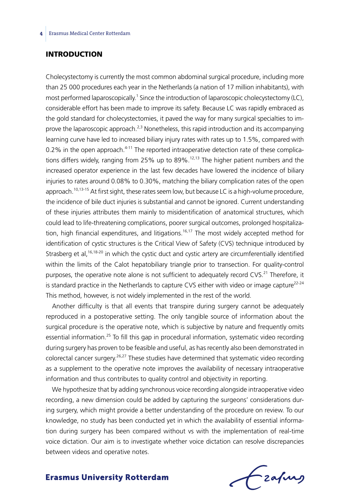#### Introduction

Cholecystectomy is currently the most common abdominal surgical procedure, including more than 25 000 procedures each year in the Netherlands (a nation of 17 million inhabitants), with most performed laparoscopically.<sup>1</sup> Since the introduction of laparoscopic cholecystectomy (LC), considerable effort has been made to improve its safety. Because LC was rapidly embraced as the gold standard for cholecystectomies, it paved the way for many surgical specialties to improve the laparoscopic approach.2,3 Nonetheless, this rapid introduction and its accompanying learning curve have led to increased biliary injury rates with rates up to 1.5%, compared with 0.2% in the open approach.<sup>4-11</sup> The reported intraoperative detection rate of these complications differs widely, ranging from 25% up to 89%.<sup>12,13</sup> The higher patient numbers and the increased operator experience in the last few decades have lowered the incidence of biliary injuries to rates around 0.08% to 0.30%, matching the biliary complication rates of the open approach.<sup>10,13-15</sup> At first sight, these rates seem low, but because LC is a high-volume procedure, the incidence of bile duct injuries is substantial and cannot be ignored. Current understanding of these injuries attributes them mainly to misidentification of anatomical structures, which could lead to life-threatening complications, poorer surgical outcomes, prolonged hospitalization, high financial expenditures, and litigations.<sup>16,17</sup> The most widely accepted method for identification of cystic structures is the Critical View of Safety (CVS) technique introduced by Strasberg et al,  $16,18-20$  in which the cystic duct and cystic artery are circumferentially identified within the limits of the Calot hepatobiliary triangle prior to transection. For quality-control purposes, the operative note alone is not sufficient to adequately record CVS.<sup>21</sup> Therefore, it is standard practice in the Netherlands to capture CVS either with video or image capture $^{22\text{-}24}$ This method, however, is not widely implemented in the rest of the world.

Another difficulty is that all events that transpire during surgery cannot be adequately reproduced in a postoperative setting. The only tangible source of information about the surgical procedure is the operative note, which is subjective by nature and frequently omits essential information.<sup>25</sup> To fill this gap in procedural information, systematic video recording during surgery has proven to be feasible and useful, as has recently also been demonstrated in colorectal cancer surgery.<sup>26,27</sup> These studies have determined that systematic video recording as a supplement to the operative note improves the availability of necessary intraoperative information and thus contributes to quality control and objectivity in reporting.

We hypothesize that by adding synchronous voice recording alongside intraoperative video recording, a new dimension could be added by capturing the surgeons' considerations during surgery, which might provide a better understanding of the procedure on review. To our knowledge, no study has been conducted yet in which the availability of essential information during surgery has been compared without vs with the implementation of real-time voice dictation. Our aim is to investigate whether voice dictation can resolve discrepancies between videos and operative notes.

 $f$  zafung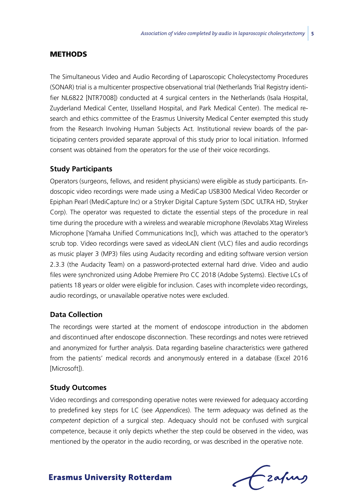#### **METHODS**

The Simultaneous Video and Audio Recording of Laparoscopic Cholecystectomy Procedures (SONAR) trial is a multicenter prospective observational trial (Netherlands Trial Registry identifier NL6822 [NTR7008]) conducted at 4 surgical centers in the Netherlands (Isala Hospital, Zuyderland Medical Center, IJsselland Hospital, and Park Medical Center). The medical research and ethics committee of the Erasmus University Medical Center exempted this study from the Research Involving Human Subjects Act. Institutional review boards of the participating centers provided separate approval of this study prior to local initiation. Informed consent was obtained from the operators for the use of their voice recordings.

#### **Study Participants**

Operators (surgeons, fellows, and resident physicians) were eligible as study participants. Endoscopic video recordings were made using a MediCap USB300 Medical Video Recorder or Epiphan Pearl (MediCapture Inc) or a Stryker Digital Capture System (SDC ULTRA HD, Stryker Corp). The operator was requested to dictate the essential steps of the procedure in real time during the procedure with a wireless and wearable microphone (Revolabs Xtag Wireless Microphone [Yamaha Unified Communications Inc]), which was attached to the operator's scrub top. Video recordings were saved as videoLAN client (VLC) files and audio recordings as music player 3 (MP3) files using Audacity recording and editing software version version 2.3.3 (the Audacity Team) on a password-protected external hard drive. Video and audio files were synchronized using Adobe Premiere Pro CC 2018 (Adobe Systems). Elective LCs of patients 18 years or older were eligible for inclusion. Cases with incomplete video recordings, audio recordings, or unavailable operative notes were excluded.

#### **Data Collection**

The recordings were started at the moment of endoscope introduction in the abdomen and discontinued after endoscope disconnection. These recordings and notes were retrieved and anonymized for further analysis. Data regarding baseline characteristics were gathered from the patients' medical records and anonymously entered in a database (Excel 2016 [Microsoft]).

#### **Study Outcomes**

Video recordings and corresponding operative notes were reviewed for adequacy according to predefined key steps for LC (see *Appendices*). The term *adequacy* was defined as the *competent* depiction of a surgical step. Adequacy should not be confused with surgical competence, because it only depicts whether the step could be observed in the video, was mentioned by the operator in the audio recording, or was described in the operative note.

Frahing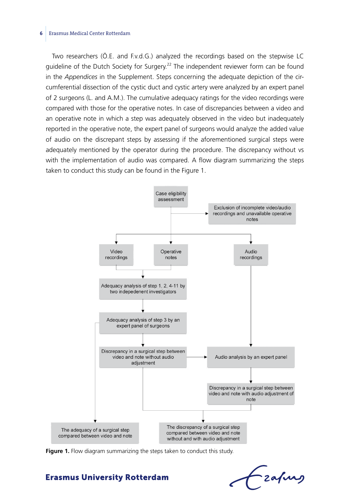#### **6** Erasmus Medical Center Rotterdam

Two researchers (Ö.E. and F.v.d.G.) analyzed the recordings based on the stepwise LC guideline of the Dutch Society for Surgery.<sup>22</sup> The independent reviewer form can be found in the *Appendices* in the Supplement. Steps concerning the adequate depiction of the circumferential dissection of the cystic duct and cystic artery were analyzed by an expert panel of 2 surgeons (L. and A.M.). The cumulative adequacy ratings for the video recordings were compared with those for the operative notes. In case of discrepancies between a video and an operative note in which a step was adequately observed in the video but inadequately reported in the operative note, the expert panel of surgeons would analyze the added value of audio on the discrepant steps by assessing if the aforementioned surgical steps were adequately mentioned by the operator during the procedure. The discrepancy without vs with the implementation of audio was compared. A flow diagram summarizing the steps taken to conduct this study can be found in the Figure 1.



**Figure 1.** Flow diagram summarizing the steps taken to conduct this study.

# Frafing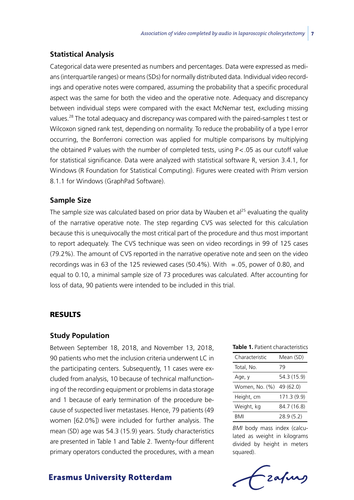#### **Statistical Analysis**

Categorical data were presented as numbers and percentages. Data were expressed as medians (interquartile ranges) or means (SDs) for normally distributed data. Individual video recordings and operative notes were compared, assuming the probability that a specific procedural aspect was the same for both the video and the operative note. Adequacy and discrepancy between individual steps were compared with the exact McNemar test, excluding missing values.28 The total adequacy and discrepancy was compared with the paired-samples t test or Wilcoxon signed rank test, depending on normality. To reduce the probability of a type I error occurring, the Bonferroni correction was applied for multiple comparisons by multiplying the obtained P values with the number of completed tests, using P<.05 as our cutoff value for statistical significance. Data were analyzed with statistical software R, version 3.4.1, for Windows (R Foundation for Statistical Computing). Figures were created with Prism version 8.1.1 for Windows (GraphPad Software).

#### **Sample Size**

The sample size was calculated based on prior data by Wauben et al<sup>25</sup> evaluating the quality of the narrative operative note. The step regarding CVS was selected for this calculation because this is unequivocally the most critical part of the procedure and thus most important to report adequately. The CVS technique was seen on video recordings in 99 of 125 cases (79.2%). The amount of CVS reported in the narrative operative note and seen on the video recordings was in 63 of the 125 reviewed cases (50.4%). With  $= .05$ , power of 0.80, and equal to 0.10, a minimal sample size of 73 procedures was calculated. After accounting for loss of data, 90 patients were intended to be included in this trial.

#### Results

#### **Study Population**

Between September 18, 2018, and November 13, 2018, 90 patients who met the inclusion criteria underwent LC in the participating centers. Subsequently, 11 cases were excluded from analysis, 10 because of technical malfunctioning of the recording equipment or problems in data storage and 1 because of early termination of the procedure because of suspected liver metastases. Hence, 79 patients (49 women [62.0%]) were included for further analysis. The mean (SD) age was 54.3 (15.9) years. Study characteristics are presented in Table 1 and Table 2. Twenty-four different primary operators conducted the procedures, with a mean

# **Erasmus University Rotterdam**

**Table 1.** Patient characteristics

| Characteristic | Mean (SD)   |
|----------------|-------------|
| Total, No.     | 79          |
| Age, y         | 54.3 (15.9) |
| Women, No. (%) | 49 (62.0)   |
| Height, cm     | 171.3(9.9)  |
| Weight, kg     | 84.7 (16.8) |
| BMI            | 28.9(5.2)   |

*BMI* body mass index (calculated as weight in kilograms divided by height in meters squared).

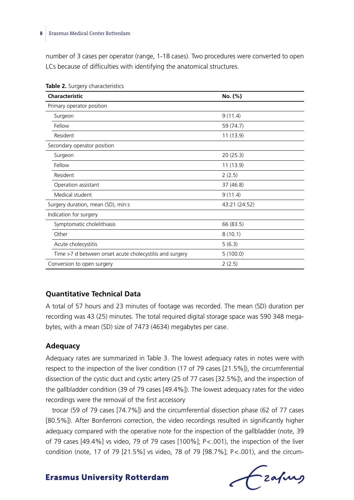number of 3 cases per operator (range, 1-18 cases). Two procedures were converted to open LCs because of difficulties with identifying the anatomical structures.

| <b>RODIC 2.</b> Sargery characteristics                 |               |
|---------------------------------------------------------|---------------|
| <b>Characteristic</b>                                   | No. (%)       |
| Primary operator position                               |               |
| Surgeon                                                 | 9(11.4)       |
| Fellow                                                  | 59 (74.7)     |
| Resident                                                | 11 (13.9)     |
| Secondary operator position                             |               |
| Surgeon                                                 | 20(25.3)      |
| Fellow                                                  | 11 (13.9)     |
| Resident                                                | 2(2.5)        |
| Operation assistant                                     | 37(46.8)      |
| Medical student                                         | 9(11.4)       |
| Surgery duration, mean (SD), min:s                      | 43:21 (24:52) |
| Indication for surgery                                  |               |
| Symptomatic cholelithiasis                              | 66 (83.5)     |
| Other                                                   | 8(10.1)       |
| Acute cholecystitis                                     | 5(6.3)        |
| Time >7 d between onset acute cholecystitis and surgery | 5(100.0)      |
| Conversion to open surgery                              | 2(2.5)        |

| Table 2. Surgery characteristics |  |
|----------------------------------|--|
|----------------------------------|--|

#### **Quantitative Technical Data**

A total of 57 hours and 23 minutes of footage was recorded. The mean (SD) duration per recording was 43 (25) minutes. The total required digital storage space was 590 348 megabytes, with a mean (SD) size of 7473 (4634) megabytes per case.

#### **Adequacy**

Adequacy rates are summarized in Table 3. The lowest adequacy rates in notes were with respect to the inspection of the liver condition (17 of 79 cases [21.5%]), the circumferential dissection of the cystic duct and cystic artery (25 of 77 cases [32.5%]), and the inspection of the gallbladder condition (39 of 79 cases [49.4%]). The lowest adequacy rates for the video recordings were the removal of the first accessory

trocar (59 of 79 cases [74.7%]) and the circumferential dissection phase (62 of 77 cases [80.5%]). After Bonferroni correction, the video recordings resulted in significantly higher adequacy compared with the operative note for the inspection of the gallbladder (note, 39 of 79 cases [49.4%] vs video, 79 of 79 cases [100%]; P<.001), the inspection of the liver condition (note, 17 of 79 [21.5%] vs video, 78 of 79 [98.7%]; P<.001), and the circum-

Czafing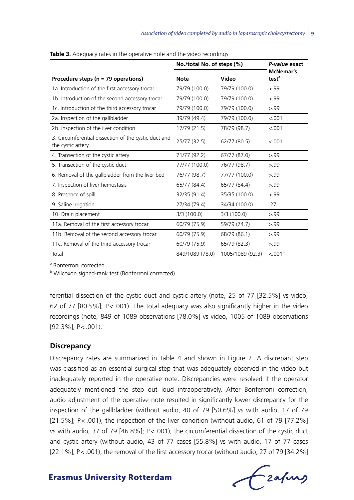|                                                                           | No./total No. of steps (%) |                  | P-value exact                         |
|---------------------------------------------------------------------------|----------------------------|------------------|---------------------------------------|
| Procedure steps ( $n = 79$ operations)                                    | <b>Note</b>                | Video            | <b>McNemar's</b><br>test <sup>a</sup> |
| 1a. Introduction of the first accessory trocar                            | 79/79 (100.0)              | 79/79 (100.0)    | > 99                                  |
| 1b. Introduction of the second accessory trocar                           | 79/79 (100.0)              | 79/79 (100.0)    | > 0.99                                |
| 1c. Introduction of the third accessory trocar                            | 79/79 (100.0)              | 79/79 (100.0)    | > 0.99                                |
| 2a. Inspection of the gallbladder                                         | 39/79 (49.4)               | 79/79 (100.0)    | < .001                                |
| 2b. Inspection of the liver condition                                     | 17/79 (21.5)               | 78/79 (98.7)     | < .001                                |
| 3. Circumferential dissection of the cystic duct and<br>the cystic artery | 25/77 (32.5)               | 62/77 (80.5)     | < .001                                |
| 4. Transection of the cystic artery                                       | 71/77 (92.2)               | 67/77 (87.0)     | > 99                                  |
| 5. Transection of the cystic duct                                         | 77/77 (100.0)              | 76/77 (98.7)     | > 0.99                                |
| 6. Removal of the gallbladder from the liver bed                          | 76/77 (98.7)               | 77/77 (100.0)    | > 99                                  |
| 7. Inspection of liver hemostasis                                         | 65/77 (84.4)               | 65/77 (84.4)     | > 0.99                                |
| 8. Presence of spill                                                      | 32/35 (91.4)               | 35/35 (100.0)    | > 0.99                                |
| 9. Saline irrigation                                                      | 27/34 (79.4)               | 34/34 (100.0)    | .27                                   |
| 10. Drain placement                                                       | 3/3 (100.0)                | 3/3(100.0)       | > 99                                  |
| 11a. Removal of the first accessory trocar                                | 60/79 (75.9)               | 59/79 (74.7)     | > 99                                  |
| 11b. Removal of the second accessory trocar                               | 60/79 (75.9)               | 68/79 (86.1)     | > 0.99                                |
| 11c. Removal of the third accessory trocar                                | 60/79 (75.9)               | 65/79 (82.3)     | > 99                                  |
| Total                                                                     | 849/1089 (78.0)            | 1005/1089 (92.3) | < 0.01 <sup>b</sup>                   |

|  |  |  |  |  |  |  |  |  |  | <b>Table 3.</b> Adequacy rates in the operative note and the video recordings |
|--|--|--|--|--|--|--|--|--|--|-------------------------------------------------------------------------------|
|--|--|--|--|--|--|--|--|--|--|-------------------------------------------------------------------------------|

*a* Bonferroni corrected

<sup>b</sup> Wilcoxon signed-rank test (Bonferroni corrected)

ferential dissection of the cystic duct and cystic artery (note, 25 of 77 [32.5%] vs video, 62 of 77 [80.5%]; P<.001). The total adequacy was also significantly higher in the video recordings (note, 849 of 1089 observations [78.0%] vs video, 1005 of 1089 observations [92.3%]; P<.001).

#### **Discrepancy**

Discrepancy rates are summarized in Table 4 and shown in Figure 2. A discrepant step was classified as an essential surgical step that was adequately observed in the video but inadequately reported in the operative note. Discrepancies were resolved if the operator adequately mentioned the step out loud intraoperatively. After Bonferroni correction, audio adjustment of the operative note resulted in significantly lower discrepancy for the inspection of the gallbladder (without audio, 40 of 79 [50.6%] vs with audio, 17 of 79 [21.5%]; P<.001), the inspection of the liver condition (without audio, 61 of 79 [77.2%] vs with audio, 37 of 79 [46.8%]; P<.001), the circumferential dissection of the cystic duct and cystic artery (without audio, 43 of 77 cases [55.8%] vs with audio, 17 of 77 cases [22.1%]; P<.001), the removal of the first accessory trocar (without audio, 27 of 79 [34.2%]

Lzafurs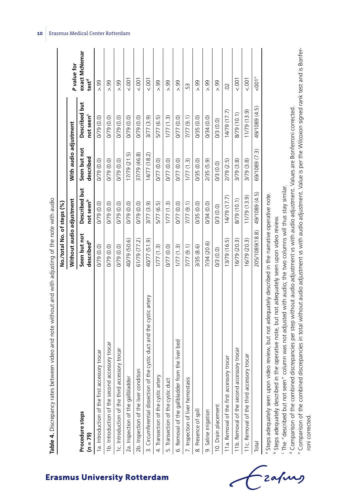|                                                                                                  | No./total No. of steps (%)             |                                        |                           |                                        |                                    |
|--------------------------------------------------------------------------------------------------|----------------------------------------|----------------------------------------|---------------------------|----------------------------------------|------------------------------------|
|                                                                                                  | Without audio adjustment               |                                        | With audio adjustment     |                                        | P value for                        |
| Procedure steps<br>$(n = 79)$                                                                    | Seen but not<br>described <sup>ª</sup> | Described but<br>not seen <sup>b</sup> | Seen but not<br>described | Described but<br>not seen <sup>c</sup> | exact McNemar<br>test <sup>d</sup> |
| 1a. Introduction of the first accessory trocar                                                   | 0/79 (0.0)                             | 0/79 (0.0)                             | 0/79 (0.0)                | 0/79 (0.0)                             | > 99                               |
| 1b. Introduction of the second accessory trocar                                                  | 0/79 (0.0)                             | 0/79 (0.0)                             | 0779 (0.0)                | 0/79 (0.0)                             | 0.56                               |
| 1c. Introduction of the third accessory trocar                                                   | 0/79(0.0)                              | 0/79 (0.0)                             | 0/79 (0.0)                | 0/79 (0.0)                             | 0.56                               |
| 2a. Inspection of the gallbladder                                                                | 40/79 (50.6)                           | 0/79 (0.0)                             | 17/79 (21.5)              | 0/79 (0.0)                             | $500 - 700$                        |
| $\overline{5}$<br>2b. Inspection of the liver condit                                             | 61/79 (77.2)                           | 0/79 (0.0)                             | 37/79 (46.8)              | 0/79 (0.0)                             | 5001                               |
| 3. Circumferential dissection of the cystic duct and the cystic artery                           | 40/77 (51.9)                           | 3/77 (3.9)                             | 14/77(18.2)               | 3/77 (3.9)                             | $\leq 001$                         |
| 4. Transection of the cystic artery                                                              | 1/77(1.3)                              | 5/77 (6.5)                             | 0/77 (0.0)                | 5/77 (6.5)                             | > 99                               |
| 5. Transection of the cystic duct                                                                | 0/77 (0.0)                             | 1/77(1.3)                              | 0/77 (0.0)                | 1/77(1.3)                              | 99                                 |
| 6. Removal of the gallbladder from the liver bed                                                 | 1/77(1.3)                              | 0/77 (0.0)                             | 0/77 (0.0)                | 0/77 (0.0)                             | > 99                               |
| 7. Inspection of liver hemostasis                                                                | 7/77(9.1)                              | 7/77 (9.1)                             | 1/77(1.3)                 | 7/77 (9.1)                             | 53                                 |
| 8. Presence of spill                                                                             | 3/35 (8.6)                             | 0/35 (0.0)                             | 0/35 (0.0)                | 0/35 (0.0)                             | 0.56                               |
| 9. Saline irrigation                                                                             | 7/34 (20.6)                            | 0/34 (0.0)                             | 2/35 (5.9)                | 0/34 (0.0)                             | 0.56                               |
| 10. Drain placement                                                                              | 0/3(0.0)                               | 0/3(0.0)                               | $O/3$ $(0.0)$             | 0/3(0.0)                               | > 99                               |
| 11a. Removal of the first accessory trocar                                                       | 13/79 (16.5)                           | 14/79 (17.7)                           | 2/79 (2.5)                | 14/79 (17.7)                           | $\overline{0}$                     |
| 11b. Removal of the second accessory trocar                                                      | 16/79 (20.3)                           | 8/79 (10.1)                            | 3/79 (3.8)                | 8/79 (10.1)                            | 5001                               |
| ory trocar<br>11c. Removal of the third access                                                   | 16/79 (20.3)                           | 11/79 (13.9)                           | 3/79 (3.8)                | 11/79 (13.9)                           | 5001                               |
| Total                                                                                            | 205/1089(18.8)                         | 49/1089 (4.5)                          | 69/1089 (7.3)             | 49/1089 (4.5)                          | $-001$ e                           |
| くちょう こうこうしょう こうしょう こうしょうしょう こうしょうしょう こうしょうしょう こうしょう こうしょう こうしょう<br>a Chane adoptionalizean trans |                                        |                                        |                           |                                        |                                    |

Table 4. Discrepancy rates between video and note without and with adjusting of the note with audio **Table 4.** Discrepancy rates between video and note without and with adjusting of the note with audio

steps adequately seen updeo review, but not adequately described in the narrative operative note. Steps adequately seen upon video review, but not adequately described in the narrative operative note.

<sup>b</sup> Steps adequately described in the operative note, but not adequately seen upon video review. Steps adequately described in the operative note, but not adequately seen upon video review.

The "described but not seen" column was not adjusted with audio; the two columns will thus stay similar. The "described but not seen" column was not adjusted with audio; the two columns will thus stay similar.

<sup>d</sup> Comparison of the combined discrepancies per step without audio adjustment vs with audio adjustment. Values are Bonferroni corrected. Comparison of the combined discrepancies per step without audio adjustment vs with audio adjustment. Values are Bonferroni corrected.

<sup>e</sup> Comparison of the combined discrepancies in total without audio adjustment vs with audio adjustment. Value is per the Wilcoxon signed rank test and is Bonfer- Comparison of the combined discrepancies in total without audio adjustment vs with audio adjustment. Value is per the Wilcoxon signed rank test and is Bonferroni corrected. roni corrected.

#### 10 Erasmus Medical Center Rotterdam

zafurg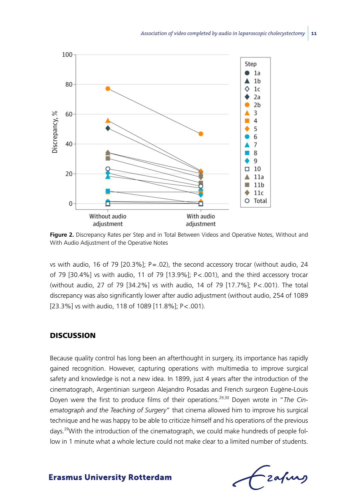

**Figure 2.** Discrepancy Rates per Step and in Total Between Videos and Operative Notes, Without and With Audio Adjustment of the Operative Notes

vs with audio, 16 of 79  $[20.3\%]$ ; P=.02), the second accessory trocar (without audio, 24 of 79 [30.4%] vs with audio, 11 of 79 [13.9%]; P<.001), and the third accessory trocar (without audio, 27 of 79 [34.2%] vs with audio, 14 of 79 [17.7%]; P<.001). The total discrepancy was also significantly lower after audio adjustment (without audio, 254 of 1089 [23.3%] vs with audio, 118 of 1089 [11.8%]; P<.001).

#### **DISCUSSION**

Because quality control has long been an afterthought in surgery, its importance has rapidly gained recognition. However, capturing operations with multimedia to improve surgical safety and knowledge is not a new idea. In 1899, just 4 years after the introduction of the cinematograph, Argentinian surgeon Alejandro Posadas and French surgeon Eugène-Louis Doyen were the first to produce films of their operations.29,30 Doyen wrote in "*The Cinematograph and the Teaching of Surgery*" that cinema allowed him to improve his surgical technique and he was happy to be able to criticize himself and his operations of the previous days.<sup>29</sup>With the introduction of the cinematograph, we could make hundreds of people follow in 1 minute what a whole lecture could not make clear to a limited number of students.



· zafung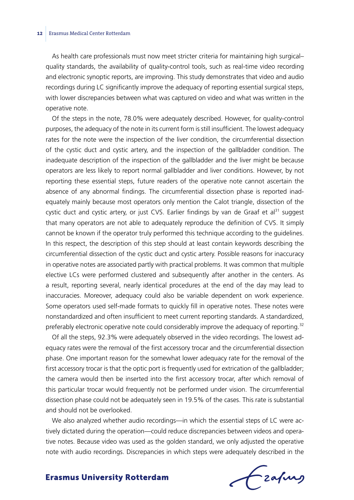As health care professionals must now meet stricter criteria for maintaining high surgical– quality standards, the availability of quality-control tools, such as real-time video recording and electronic synoptic reports, are improving. This study demonstrates that video and audio recordings during LC significantly improve the adequacy of reporting essential surgical steps, with lower discrepancies between what was captured on video and what was written in the operative note.

Of the steps in the note, 78.0% were adequately described. However, for quality-control purposes, the adequacy of the note in its current form is still insufficient. The lowest adequacy rates for the note were the inspection of the liver condition, the circumferential dissection of the cystic duct and cystic artery, and the inspection of the gallbladder condition. The inadequate description of the inspection of the gallbladder and the liver might be because operators are less likely to report normal gallbladder and liver conditions. However, by not reporting these essential steps, future readers of the operative note cannot ascertain the absence of any abnormal findings. The circumferential dissection phase is reported inadequately mainly because most operators only mention the Calot triangle, dissection of the cystic duct and cystic artery, or just CVS. Earlier findings by van de Graaf et al $^{31}$  suggest that many operators are not able to adequately reproduce the definition of CVS. It simply cannot be known if the operator truly performed this technique according to the guidelines. In this respect, the description of this step should at least contain keywords describing the circumferential dissection of the cystic duct and cystic artery. Possible reasons for inaccuracy in operative notes are associated partly with practical problems. It was common that multiple elective LCs were performed clustered and subsequently after another in the centers. As a result, reporting several, nearly identical procedures at the end of the day may lead to inaccuracies. Moreover, adequacy could also be variable dependent on work experience. Some operators used self-made formats to quickly fill in operative notes. These notes were nonstandardized and often insufficient to meet current reporting standards. A standardized, preferably electronic operative note could considerably improve the adequacy of reporting.<sup>32</sup>

Of all the steps, 92.3% were adequately observed in the video recordings. The lowest adequacy rates were the removal of the first accessory trocar and the circumferential dissection phase. One important reason for the somewhat lower adequacy rate for the removal of the first accessory trocar is that the optic port is frequently used for extrication of the gallbladder; the camera would then be inserted into the first accessory trocar, after which removal of this particular trocar would frequently not be performed under vision. The circumferential dissection phase could not be adequately seen in 19.5% of the cases. This rate is substantial and should not be overlooked.

We also analyzed whether audio recordings—in which the essential steps of LC were actively dictated during the operation—could reduce discrepancies between videos and operative notes. Because video was used as the golden standard, we only adjusted the operative note with audio recordings. Discrepancies in which steps were adequately described in the

Frafing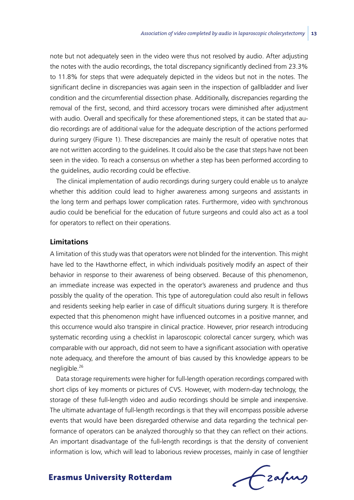note but not adequately seen in the video were thus not resolved by audio. After adjusting the notes with the audio recordings, the total discrepancy significantly declined from 23.3% to 11.8% for steps that were adequately depicted in the videos but not in the notes. The significant decline in discrepancies was again seen in the inspection of gallbladder and liver condition and the circumferential dissection phase. Additionally, discrepancies regarding the removal of the first, second, and third accessory trocars were diminished after adjustment with audio. Overall and specifically for these aforementioned steps, it can be stated that audio recordings are of additional value for the adequate description of the actions performed during surgery (Figure 1). These discrepancies are mainly the result of operative notes that are not written according to the guidelines. It could also be the case that steps have not been seen in the video. To reach a consensus on whether a step has been performed according to the guidelines, audio recording could be effective.

The clinical implementation of audio recordings during surgery could enable us to analyze whether this addition could lead to higher awareness among surgeons and assistants in the long term and perhaps lower complication rates. Furthermore, video with synchronous audio could be beneficial for the education of future surgeons and could also act as a tool for operators to reflect on their operations.

#### **Limitations**

A limitation of this study was that operators were not blinded for the intervention. This might have led to the Hawthorne effect, in which individuals positively modify an aspect of their behavior in response to their awareness of being observed. Because of this phenomenon, an immediate increase was expected in the operator's awareness and prudence and thus possibly the quality of the operation. This type of autoregulation could also result in fellows and residents seeking help earlier in case of difficult situations during surgery. It is therefore expected that this phenomenon might have influenced outcomes in a positive manner, and this occurrence would also transpire in clinical practice. However, prior research introducing systematic recording using a checklist in laparoscopic colorectal cancer surgery, which was comparable with our approach, did not seem to have a significant association with operative note adequacy, and therefore the amount of bias caused by this knowledge appears to be negligible.26

Data storage requirements were higher for full-length operation recordings compared with short clips of key moments or pictures of CVS. However, with modern-day technology, the storage of these full-length video and audio recordings should be simple and inexpensive. The ultimate advantage of full-length recordings is that they will encompass possible adverse events that would have been disregarded otherwise and data regarding the technical performance of operators can be analyzed thoroughly so that they can reflect on their actions. An important disadvantage of the full-length recordings is that the density of convenient information is low, which will lead to laborious review processes, mainly in case of lengthier

Czafurg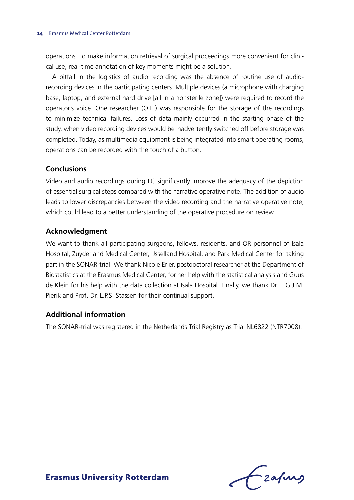operations. To make information retrieval of surgical proceedings more convenient for clinical use, real-time annotation of key moments might be a solution.

A pitfall in the logistics of audio recording was the absence of routine use of audiorecording devices in the participating centers. Multiple devices (a microphone with charging base, laptop, and external hard drive [all in a nonsterile zone]) were required to record the operator's voice. One researcher (Ö.E.) was responsible for the storage of the recordings to minimize technical failures. Loss of data mainly occurred in the starting phase of the study, when video recording devices would be inadvertently switched off before storage was completed. Today, as multimedia equipment is being integrated into smart operating rooms, operations can be recorded with the touch of a button.

#### **Conclusions**

Video and audio recordings during LC significantly improve the adequacy of the depiction of essential surgical steps compared with the narrative operative note. The addition of audio leads to lower discrepancies between the video recording and the narrative operative note, which could lead to a better understanding of the operative procedure on review.

#### **Acknowledgment**

We want to thank all participating surgeons, fellows, residents, and OR personnel of Isala Hospital, Zuyderland Medical Center, IJsselland Hospital, and Park Medical Center for taking part in the SONAR-trial. We thank Nicole Erler, postdoctoral researcher at the Department of Biostatistics at the Erasmus Medical Center, for her help with the statistical analysis and Guus de Klein for his help with the data collection at Isala Hospital. Finally, we thank Dr. E.G.J.M. Pierik and Prof. Dr. L.P.S. Stassen for their continual support.

#### **Additional information**

The SONAR-trial was registered in the Netherlands Trial Registry as Trial NL6822 (NTR7008).

frafing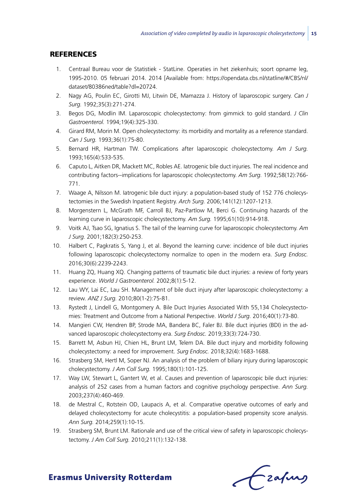#### **REFERENCES**

- 1. Centraal Bureau voor de Statistiek StatLine. Operaties in het ziekenhuis; soort opname leg, 1995-2010. 05 februari 2014. 2014 [Available from: https://opendata.cbs.nl/statline/#/CBS/nl/ dataset/80386ned/table?dl=20724.
- 2. Nagy AG, Poulin EC, Girotti MJ, Litwin DE, Mamazza J. History of laparoscopic surgery. *Can J Surg.* 1992;35(3):271-274.
- 3. Begos DG, Modlin IM. Laparoscopic cholecystectomy: from gimmick to gold standard. *J Clin Gastroenterol.* 1994;19(4):325-330.
- 4. Girard RM, Morin M. Open cholecystectomy: its morbidity and mortality as a reference standard. *Can J Surg.* 1993;36(1):75-80.
- 5. Bernard HR, Hartman TW. Complications after laparoscopic cholecystectomy. *Am J Surg.* 1993;165(4):533-535.
- 6. Caputo L, Aitken DR, Mackett MC, Robles AE. Iatrogenic bile duct injuries. The real incidence and contributing factors--implications for laparoscopic cholecystectomy. *Am Surg.* 1992;58(12):766- 771.
- 7. Waage A, Nilsson M. Iatrogenic bile duct injury: a population-based study of 152 776 cholecystectomies in the Swedish Inpatient Registry. *Arch Surg.* 2006;141(12):1207-1213.
- 8. Morgenstern L, McGrath MF, Carroll BJ, Paz-Partlow M, Berci G. Continuing hazards of the learning curve in laparoscopic cholecystectomy. *Am Surg.* 1995;61(10):914-918.
- 9. Voitk AJ, Tsao SG, Ignatius S. The tail of the learning curve for laparoscopic cholecystectomy. *Am J Surg.* 2001;182(3):250-253.
- 10. Halbert C, Pagkratis S, Yang J, et al. Beyond the learning curve: incidence of bile duct injuries following laparoscopic cholecystectomy normalize to open in the modern era. *Surg Endosc.* 2016;30(6):2239-2243.
- 11. Huang ZQ, Huang XQ. Changing patterns of traumatic bile duct injuries: a review of forty years experience. *World J Gastroenterol.* 2002;8(1):5-12.
- 12. Lau WY, Lai EC, Lau SH. Management of bile duct injury after laparoscopic cholecystectomy: a review. *ANZ J Surg.* 2010;80(1-2):75-81.
- 13. Rystedt J, Lindell G, Montgomery A. Bile Duct Injuries Associated With 55,134 Cholecystectomies: Treatment and Outcome from a National Perspective. *World J Surg.* 2016;40(1):73-80.
- 14. Mangieri CW, Hendren BP, Strode MA, Bandera BC, Faler BJ. Bile duct injuries (BDI) in the advanced laparoscopic cholecystectomy era. *Surg Endosc.* 2019;33(3):724-730.
- 15. Barrett M, Asbun HJ, Chien HL, Brunt LM, Telem DA. Bile duct injury and morbidity following cholecystectomy: a need for improvement. *Surg Endosc.* 2018;32(4):1683-1688.
- 16. Strasberg SM, Hertl M, Soper NJ. An analysis of the problem of biliary injury during laparoscopic cholecystectomy. *J Am Coll Surg.* 1995;180(1):101-125.
- 17. Way LW, Stewart L, Gantert W, et al. Causes and prevention of laparoscopic bile duct injuries: analysis of 252 cases from a human factors and cognitive psychology perspective. *Ann Surg.* 2003;237(4):460-469.
- 18. de Mestral C, Rotstein OD, Laupacis A, et al. Comparative operative outcomes of early and delayed cholecystectomy for acute cholecystitis: a population-based propensity score analysis. *Ann Surg.* 2014;259(1):10-15.
- 19. Strasberg SM, Brunt LM. Rationale and use of the critical view of safety in laparoscopic cholecystectomy. *J Am Coll Surg.* 2010;211(1):132-138.

Czafing